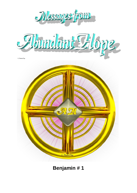

**Benjamin # 1**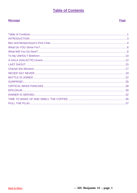# **Table of Contents**

## <span id="page-1-0"></span>**Message**

## Page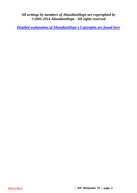*All writings by members of AbundantHope are copyrighted by ©2005-2014 AbundantHope - All rights reserved*

*[Detailed explanation of AbundantHope's Copyrights are found here](http://abundanthope.net/pages/AbundantHope_1/Copyright_-_Terms_amp_Conditions_517.shtml)*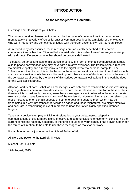## **INTRODUCTION**

### **to the Messages with Benjamin**

<span id="page-3-0"></span>Greetings and Blessings to you Chelas.

The Works contained herein begin a transcribed account of conversations that began scant months ago with a variety of Celestial entities common described by a majority of the telepaths who work frequently and sometimes uniquely with the organization known as Abundant Hope.

As referred to by other scribes, these messages are most aptly described as telepathic communications rather than 'Channelled' material, which is another form of message-receiving with a distinct difference but one that should be properly delineated.

Telepathy, so far as it relates to this particular scribe, is a form of mental communication, largely akin to phone-conversation one may have with a relative overseas. The transmission is received via mental telepathy and directly conveyed to the digital format via personal computer. The 'influence' or direct impact this scribe has on a these communications is limited to editorial aspects such as punctuation, spell-check and formatting. All other aspects of this information is the work of the contactor as directed by the details of this scribes contractual obligations in the work he does for the Celestial Hierarchy.

Also too, worthy of note, is that we as messengers, are only able to transmit these missives using language/themes/communicative devises and dictum that is relevant and familiar to these scribes, therefore it is occasionally the case, were these messages are not delivered in the most accurate, relevant or descriptive format to a majority of the readership. However, it must also be related that these messages often contain aspects of both energetic and esoteric merit which may be transmitted in a way that transcends 'words on paper' and these 'signatures' are highly effective and accurate in transmuting relevant impressions upon their often highly specified intended targets.

Taken as a device in employ of Divine Missionaries to your beleaguered, telepathic communications of this form are highly effective and communications of economy, considering the current conditions faced by a majority of the forces of Light on your planet, it has proven a boon for the forces of Creation, to be able to use these messages as tools for our work.

It is an honour and a joy to serve the Lighted Father of All,

All glory and power to the Lord of All Hosts,

Michael Son, Luciente.

12th August, 2013.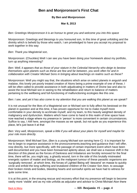## **Ben and Monjoronson's First Chat**

### **By Ben and Monjoronson**

### **Mar 8, 2013**

<span id="page-4-0"></span>*Ben: Greetings Monjonronson it is an honour to greet you and welcome you into this space*

Monjoronson: Greetings and blessings to you honoured son, In this time of great unfolding and the divinity which is beheld by those who watch, I am priveledged to have you accept my proposal to work together in this way

*Ben: Thank you Magisterial son,*

Monjoronson: (Chuckles) Well I can see you have been doing your homework about my portfolio, turn up anything interesting?

*Ben: Well, it appears that as those of your stature in the Celestial hierarchy who deign to bestow themselves upon planets such as these are few and far between, you work often for and in collaboration with Creator Michael Sons in bringing about teachings on realms such as these?*

Monjoronson: Well you might say that, the situations which arise on select planets in anguish and malaise, this lovely yet poorly treated creation of Atons being a prime example of one of these, I will be often called to provide assistance in both adjudicating in matters of Divine law and also to assist the local Michael son in seeing to the rehabilitation and return to balance of matters pertaining to the wellbeing and full-functioning of malfunctioning ecologies like this one.

### *Ben: I see, and yet it has also come to my attention that you are walking this planet as we speak?*

It is not unusual for the likes of a Magisterial son or Michael son to fully affect his bestowal on the planet in question and at this time, it has proven opportune for me to make myself more comfortable in your density to acclimate myself, and my team, to this heavily weighted density of malignancy and dysfunction. Matters which have come to hand in this realm of time space have now reached a stage where my presence in 'person' is more convenient in certain circumstances. Suffice to say, I AM here, amongst the masses as we speak, but not quite as you experience this place, let's just leave it at that

*Ben: Very well, Monjoronson, speak a little if you will about your plans for myself and maybe for your role more directly.*

Monjoronson: Well Michael Son, (Ben is a young Michael son serving here-C) it is important for me to begin to organize assistance in the pronouncements,teaching and guidance that I will offer, now directly, but more specifically, with the passage of certain important event which have been well documented and you have been forewarned aplenty about, we shall see a massive shift in the direction of this planet as the forces of Darkness and Imbalance are forcibly removed for the final time, there will be, you might say, a ghastly wound, torn in the side of this brutally mistreated energetic system of matter and biology, as the malignant tumour of these parasitic organisms are 'surgically removed', at which time, the forces of Lighted Being will 'descend' en masse to quickly circle and enfold the long suffering and brutalized children of the Creator Son Aton, to assuage their broken minds and bodies, bleeding hearts and sorrowful spirits we have had to witness for quite some time.

It is at this point, in the ensuing rescue and recovery effort that my presence will begin to become vastly more 'visible' and as my role unfolds as adjucator and advisor to Christ Michael Aton there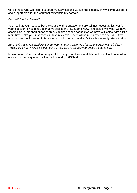will be those who will help to support my activities and work in the capacity of my 'communicators' and support crew for the work that falls within my portfolio.

#### *Ben: Will this involve me?*

Yes it will, at your request, but the details of that engagement are still not necessary just yet for your digestion, I would advise that we stick to the HERE and NOW, and settle with what we have accomplish in this short space of time. You tire and the connection we have will 'settle' with a little more time. Take your rest now, as I take my leave. There will be much more to discuss but we must proceed with caution to take steps which you can handle. Quite a few already, steps that is.

**Ben: Well thank you Monjoronson for your time and patience with my uncertainty and frailty. I** *TRUST IN THIS PROCESS but I still do not ALLOW as easily for these things to flow.*

Monjoronson: You have done very well. I bless you and your work Michael Son, I look forward to our next communiqué and will move to standby, ADONAI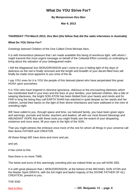## **What Do YOU Strive For?**

### **By Monjoronson thru Ben**

**Mar 9, 2013**

### <span id="page-6-0"></span>**THURSDAY 7TH March 2013, thru Ben (the fellow that did the radio interviews in Australia)**

#### **What Do YOU Strive For?**

Greetings beloved Children of the One Called Christ Michael Aton,

It is with tremendous pleasure that I am made available this being of wondrous light, with whom I might transmit this most urgent message on behalf of the Celestial Effort currently co-ordinating to bring about the salvation of your beleaguered realm.

I AM the Magisterial Son MONJORONSON and I come to you in fading light of the days of darkness as the veil is finally removed and the length and breadth of your deceit-filled lives will finally be made most apparent to you ones of the lie.

I say YOU ones for it is YOU the people of this beloved planet who have perpetrated this great HOAX upon yourselves.

It is YOU who have lingered in obscene ignorance, oblivious to the encroaching darkness which has manifested itself in your lives and the lives of your families, your beloved children, like a tide of seeping blackness, the bright SON ATON has been blotted from your hearts and minds and for FAR to long the being they call EARTH SHAN has watched in quiet despair as her wards and her children, turned their backs on the light of their divine inheritance and have wallowed in the mire of unending night.

WE have called to you, through space and time, our beloved family, you have been given signs and warnings, journals and books, teachers and leaders, all with our most fervent blessings and ABUNDANT HOPE that with these tools you might finally see the extent of your despairing existence and once more, lift your eyes to the light of the SON.

That you might witness the embrace once more of the one for whom all things in your universe call their divine FATHER and CREATOR.

All these things WE have done and more and yet,

and yet,

it has come to this.

Now there is no more TIME.

The twists and turns of this seemingly unending plot are indeed finite as you will NOW SEE.

It is with great pleasure that I, MONJORONSON, at the behest of the MICHAEL SON ATON and the Master Spirit SIRAYA, with the full might and lawful majesty of the DIVINE FATHER OF ALL CREATION, present to you,

THE END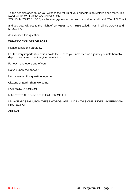To the peoples of earth, as you witness the return of your ancestors, to reclaim once more, this world for the WILL of the one called ATON, STAND IN YOUR SHOES, as the merry-go-round comes to a sudden and UNMISTAKABLE halt,

and you bear witness to the might of UNIVERSAL FATHER called ATON in all his GLORY and MAJESTY,

Ask yourself this question;

#### **WHAT DO YOU STRIVE FOR?**

Please consider it carefully,

For this very important question holds the KEY to your next step on a journey of unfathomable depth in an ocean of unimagined revelation.

For each and every one of you.

Do you know the answer?

Let us answer this question together.

Citizens of Earth Shan, we come.

I AM MONJORONSON,

MAGISTERIAL SON OF THE FATHER OF ALL,

I PLACE MY SEAL UPON THESE WORDS, AND I MARK THIS ONE UNDER MY PERSONAL PROTECTION

ADONAI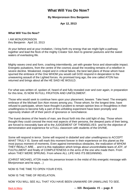## **What Will You Do Now?**

#### **By Monjoronson thru Benjamin**

**Apr 12, 2013**

#### <span id="page-8-0"></span>**What Will You Do Now?**

I AM MONJORONSON thru Benjamin April 10, 2013

At your behest and at your invitation, I bring forth my energy that we might light a pathway together and lead the flock of the mighty Creator Son Aton to greener pastures and the sweet waters of everlasting life.

Mighty waves crest and form, crashing intermittently, yet with greater force and observable impact. Energetic pulsations, from the centre of the cosmos assail the receding remains of a rebellion in severe decline. Weakened, insipid and in critical failure, the best laid plans of those whom have spurned the embrace of the One WHOM you would call GOD respond in desperation to the unwavering assault of the Lighted forces. As promised long ago, the one called ATON has returned and brings about all the HE SAID HE WOULD.

For what was written of, spoken of, heard of and fully revealed over and over again, in preparation for this time, IS NOW IN FULL FRUITION AND UNFOLDMENT.

Those who would seek to continue here upon your placement, beware. Take heed. The energetic embrace of the Michael Son Aton moves among you. Those whom, for the longest time, have refused to participate, whom have thought it prudent to remain opinion less or thoughtless in their unwillingness to become fully a part of this unfolding experiment have been promptly and vigorously shaken off of their perch of ignorance or nonchalance.

The truest desires of the hearts of man, are thrust forth into the cold light of day. Those whom thought they could conceal the most real aspects of their persona, the deepest parts of their being, are forced to inexorably bare all to the JUDGEMENT OF THEMSELVES and for the objective of demonstration and experience for a FULL classroom with students of the DIVINE.

Some will respond in terror. Some will respond in disbelief and utter unwillingness to ACCEPT WHAT TRULY IS. Some will mark this moment forever in their experience on this planet as the most joyous moment of moments. Even against tremendous obstacles, the realization of WHOM THEY REALLY ARE… and it is this realization which brings about uncontrollable tears of JOY, of FULFILLMENT and finally of COMPLETENESS in the arms of the one who made them. From whom THEY WERE SPRUNG. From where ALL LIFE HAS ITS BEGINNING.

(CHRIST MICHAEL ATON made his presence known in the midst of this energetic message with Monjoronson and he says…)

NOW IS THE TIME TO OPEN YOUR EYES.

NOW IS THE TIME OF REVELATION.

NOW YOU WILL SEE ALL THAT YOU HAVE BEEN UNAWARE OR UNWILLING TO SEE.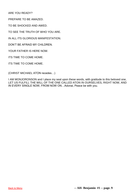ARE YOU READY?

PREPARE TO BE AMAZED.

TO BE SHOCKED AND AWED.

TO SEE THE TRUTH OF WHO YOU ARE.

IN ALL ITS GLORIOUS MANIFESTATION.

DON'T BE AFRAID MY CHILDREN.

YOUR FATHER IS HERE NOW.

ITS TIME TO COME HOME.

ITS TIME TO COME HOME.

(CHRIST MICHAEL ATON recedes…)

I AM MONJORONSON and I place my seal upon these words, with gratitude to this beloved one, LET US FULFILL THE WILL OF THE ONE CALLED ATON IN OURSELVES, RIGHT NOW, AND IN EVERY SINGLE NOW, FROM NOW ON…Adonai, Peace be with you.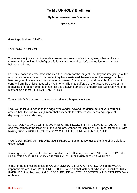## **To My UNHOLY Brethren**

### **By Monjoronson thru Benjamin**

**Apr 22, 2013**

<span id="page-10-0"></span>Greetings children of FAITH,

I AM MONJORONSON

The wheels of justice turn inexorably onward as servants of dark imaginings that writhe and squirm and squeal in disbelief grasp forlornly at Idols and savior's that no longer hear their beleaguered cries.

For some dark ones who have inhabited this sphere for the longest time, beyond imaginings of the most recent to incarnate to this realm, they have sustained themselves on the energy that has been recycled like revolving waste water, squeezed from the length and breadth of this isle of sorrow, from the unfortunates who have, for a millennia, suffered at the unsavoury claws of the menacing energetic vampires that infest this decaying empire of ungodliness. Suffered what one may call an almost ETERNAL DAMNATION.

To my UNHOLY brethren, to whom now I direct this special missive,

I ask you to lift your heads to the ridge over yonder, beyond the dense mire of your own selfcreated hell, the torturous nightmare that truly befits the state of your decaying empire of depravity, woe and despair,

Lo, BEHOLD YE ONES OF THE DARK BROTHERHOOD, it is I, THE MAGISTERIAL SON, The one who comes at the forefront of the vanguard, witness the coming of your most fitting end. With blazing, furious JUSTICE, witness the WRATH OF THE ONE WHO MADE YOU!

I AM A SON BORN OF THE ONE MOST HIGH, sent as a messenger at the time of this glorious dispensation.

In my right hand you shall be forever humbled by the flaming sword of TRUTH, of JUSTICE, the ULTIMATE EQUALIZER. KNOW YE, TRULY, YOUR JUDGEMENT HAS ARRIVED.

In my left hand shall the shield of COMPASSIONATE MERCY, PROTECTOR of the WEAK, impenetrable WALL of DIVINE PROTECTION, where I shall gather all who revel in GOD's HOLY RADIANCE, that they may find SUCCOR, RELIEF and RESURRECTION in THY FATHERS OWN embrace.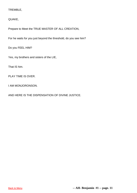### TREMBLE,

### QUAKE,

Prepare to Meet the TRUE MASTER OF ALL CREATION,

For he waits for you just beyond the threshold, do you see him?

Do you FEEL HIM?

Yes, my brothers and sisters of the LIE,

That IS him.

PLAY TIME IS OVER.

I AM MONJORONSON.

AND HERE IS THE DISPENSATION OF DIVINE JUSTICE.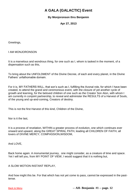# **A GALA (GALACTIC) Event**

## **By Monjoronson thru Benjamin**

**Apr 27, 2013**

<span id="page-12-0"></span>Greetings,

I AM MONJORONSON

It is a marvelous and wondrous thing, for one such as I, whom is tasked in the moment, of a dispensation such as this,

To bring about the UNFOLDMENT of the Divine Decree, of each and every planet, in the Divine Fathers' unfathomable domain.

For it is, MY FATHERS WILL, that son's such as I, fulfilling the Avonal role, for which I have been created, to attend the grand and ceremonious event, with the closure of yet another cycle of growth and learning, for the beloved children of one such as the Creator Son Aton, with whom I am currently in conjoint partnership, to reveal and administer the RESULTS of a Harvest of Souls, of the young and up-and-coming, Creators of destiny.

This is not the first Harvest of this kind, Children of the Divine,

Nor is it the last,

It is a process of revelation, WITHIN a greater process of evolution, one which continues ever onward and upward, along the GREAT SPIRAL PATH, leading all CHILDREN OF FAITH, all lovers of DIVINE MERCY, COMPASSION,WISDOM,

And LOVE,

Back home again. A monumental journey, one might consider, as a creature of time and space. Yet I will tell you, from MY POINT OF VIEW, I would suggest that it is nothing but,

A SLOW MOTION INSTANT REPLAY,

And how might this be. For that which has not yet come to pass, cannot be expressed in the pasttense.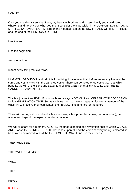### CAN IT?

Oh if you could only see what I see, my beautiful brothers and sisters, if only you could stand where I stand, to envision what you might consider the impossible, in its COMPLETE AND TOTAL MANIFESTATION OF LIGHT. Here on the mountain top, at the RIGHT HAND OF THE FATHER, and the end of the RED ROAD OF TRUTH,

Lies the end.

Lies the beginning,

And the middle,

In fact every thing that ever was.

I AM MONJORONSON, and I do this for a living. I have seen it all before, never any Harvest the same and yet, always with the same outcome. There can be no other outcome than that which benefits the will of the Sons and Daughters of THE ONE. For that is HIS WILL and THERE CANNOT BE ANY OTHER.

This is a joyous time FOR US, my brethren, always a JOYOUS and CELEBRATORY OCCASION, for it is GRADUATION TIME. So, as such we need to have a big party, for every member of the class. All will receive their certificates, their review, hints and tips for the future.

There will be hugs all 'round and a few surprises, a few promotions (Yes, demotions too), but above and beyond the aspects mentioned above.

We will all share for a moment, AS ONE, the understanding, the revelation, that of which WE ALL ARE. For as the SPIRIT OF TRUTH descends upon all and the vision of every being is cleared, is transfixed and moved to hold the LIGHT OF ETERNAL LOVE, in their hearts.

THEY WILL SEE.

THEY WILL REMEMBER,

WHO.

THEY.

REALLY.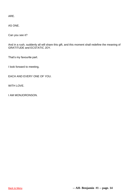ARE.

AS ONE.

Can you see it?

And in a rush, suddenly all will share this gift, and this moment shall redefine the meaning of GRATITUDE and ECSTATIC JOY.

That's my favourite part.

I look forward to meeting,

EACH AND EVERY ONE OF YOU.

WITH LOVE.

I AM MONJORONSON.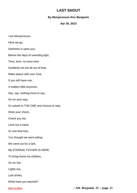## **LAST SHOUT**

## **By Monjoronson thru Benjamin**

### **Apr 30, 2013**

<span id="page-15-0"></span>I am Monjoronson,

Here we go,

Darkness is upon you,

Before the days of unending light,

Time, time, no more time,

Suddenly we are all out of time,

Make peace with your God,

If you still have one,

It matters little anymore,

Say, say, nothing more to say,

Go on your way,

Or submit to THE ONE and choose to stay,

Write your check,

Check you list,

Lend out a hand,

Or one final kiss,

You thought we were joking,

We were out for a lark,

My ETERNAL FATHER IS HERE,

To bring home his children,

On an Ark.

Lights out,

Last drinks,

What have you learned?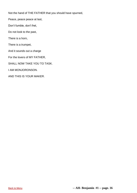Not the hand of THE FATHER that you should have spurned,

Peace, peace peace at last,

Don't fumble, don't fret,

Do not look to the past,

There is a horn,

There is a trumpet,

And it sounds out a charge

For the lovers of MY FATHER,

SHALL NOW TAKE YOU TO TASK.

I AM MONJORONSON.

AND THIS IS YOUR MAKER.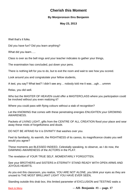## **Cherish this Moment**

## **By Monjoronson thru Benjamin**

### **May 23, 2013**

<span id="page-17-0"></span>Well that's it folks.

Did you have fun? Did you learn anything?

What did you learn…..

Class is over as the bell rings and your teacher indicates to gather your things,

The examination has concluded, put down your pens.

There is nothing left for you to do, but to exit the room and wait to see how you scored.

Look around you and congratulate your fellow students,

A test, you say? What test? I didn't see any… nobody told me it was…ugh… ummm

Relax, you did well.

Who but the MASTER OF HEAVEN could offer a MASTERCLASS where you participation could be involved without you even realizing it?

Where you could pass with flying colours without a stab of recognition?

Let the KNOWING that comes with these penetrating energies ENLIGHTEN your GROWING AWARENESS.

Packets of LIVING LIGHT, gifts from the CENTRE OF ALL CREATION flood your place and sear away these mists of forgetfulness and doubt.

DO NOT BE AFRAID for it is DIVINITY that washes over you.

Feel its familiarity, its warmth, the RIGHTNESS of its caress, its magnificence cloaks you well would you agree?

These moments are BLESSED INDEED, Celestially speaking, to observe, as I do now, the DAWNING AWARENESS of the ACTORS in the PLAY.

The revelation of YOUR TRUE SELF, MOMENTARILY FORGOTTEN.

See your BROTHERS and SISTERS in ETERNITY STAND READY WITH OPEN ARMS AND JOYOUS HEARTS.

As you exit this classroom, you realize, YOU ARE NOT ALONE, you blink your eyes as they are unused to THE MOST BRILLIANT LIGHT YOU HAVE EVER SEEN,

Standing outside this drab box, this limited parameter of EXCLUSION and TESTING waits a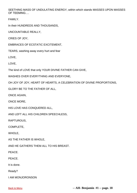SEETHING MASS OF UNDULATING ENERGY, within which stands MASSES UPON MASSES OF TEEMING….

FAMILY.

In their HUNDREDS AND THOUSANDS,

UNCOUNTABLE REALLY,

CRIES OF JOY,

EMBRACES OF ECSTATIC EXCITEMENT,

TEARS, washing away every hurt and fear

LOVE,

LOVE,

The kind of LOVE that only YOUR DIVINE FATHER CAN GIVE,

WASHES OVER EVERYTHING AND EVERYONE,

OH JOY OF JOY, HEART OF HEARTS, A CELEBRATION OF DIVINE PROPORTIONS,

GLORY BE TO THE FATHER OF ALL,

ONCE AGAIN,

ONCE MORE,

HIS LOVE HAS CONQUERED ALL,

AND LEFT ALL HIS CHILDREN SPEECHLESS,

RAPTUROUS,

COMPLETE,

WHOLE,

AS THE FATHER IS WHOLE,

AND HE GATHERS THEM ALL TO HIS BREAST.

PEACE.

PEACE.

It is done.

Ready?

I AM MONJORONSON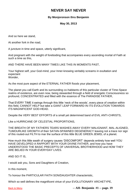## **NEVER SAY NEVER**

### **By Monjoronson thru Benjamin**

#### **May 30, 2013**

<span id="page-19-0"></span>And so here we stand,

At another fork in the road,

A juncture in time and space, utterly significant,

And pregnant with the weight of foreboding that accompanies every ascending mortal of Faith at such a time as this,

AND THERE HAVE BEEN MANY TIMES LIKE THIS IN MOMENTS PAST,

Your highest self, your God-mind, your Inner-knowing veritably screams in exultation and expectant Wonder

As the most pure aspect of the ETERNAL FATHER floods your placement,

The planet you call Earth and its surrounding co-habitants of this particular cluster of Time-Space realms of existence, are even now, being stewarded through a field of energetic Consciousness so profound, CONCENTRATED and filled with the essence of The PARADISE FATHER,

That EVERY TIME it swings through this little 'neck of the woods', every piece of creation within this field, CANNOT HELP but take a GIANT LEAP FORWARD IN ITS EVOLUTION TOWARDS ITS MAGNIFICENT GOD-HEAD.

Despite the VERY BEST EFFORTS of a small yet determined band of EVIL ANTI-CHRISTS,

Like a HURRICANE OF CELESTIAL PROPORTIONS,

THE BREATH OF MY FATHERS TEARS WASHES AWAY EVERY MALIGNANT, MAL-ALIGNED, TUMOURLIKE GROWTH of their SATAN-SPAWNED DEGENERACY leaving not a trace nor sign of this routed-out FILTH to mar the surface of this little BLUE GREEN JEWEL of a planet.

How much this little swath of surgery causes 'DISCOMFORT' depends entirely how well YOU HAVE DEVELOPED A RAPPORT WITH YOUR DIVINE FATHER, and how you have UNDERSTOOD THE BASIC PRECEPTS OF UNIVERSAL BROTHERHOOD and HOW THEY ARE BELIED IN YOUR EVERYDAY LIVES.

AND SO IT IS,

I would ask you, Sons and Daughters of Creation,

In this moment,

To honour the PARTICULAR FAITH SON/DAUGHTER characteristic,

Which so well defines the magnificent virtue of your EVOLUTIONARY ARCHETYPE,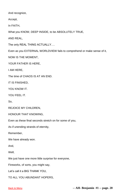And recognize,

Accept,

In FAITH,

What you KNOW, DEEP INSIDE, to be ABSOLUTELY TRUE,

AND REAL,

The only REAL THING ACTUALLY….

Even as you EXTERNAL WORLDVIEW fails to comprehend or make sense of it,

NOW IS THE MOMENT,

YOUR FATHER IS HERE,

I AM HERE,

The time of CHAOS IS AT AN END.

IT IS FINISHED,

YOU KNOW IT.

YOU FFFL IT.

So,

REJOICE MY CHILDREN,

HONOUR THAT KNOWING,

Even as these final seconds stretch on for some of you,

As if unending strands of eternity,

Remember,

We have already won.

And,

Well,

We just have one more little surprise for everyone,

Fireworks, of sorts, you might say,

Let's call it a BIG THANK YOU,

TO ALL YOU ABUNDANT HOPERS,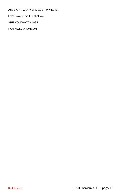And LIGHT WORKERS EVERYWHERE.

Let's have some fun shall we.

ARE YOU WATCHING?

I AM MONJORONSON.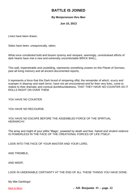## **BATTLE IS JOINED**

### **By Monjoronson thru Ben**

#### **Jun 10, 2013**

<span id="page-22-0"></span>Lines have been drawn,

Sides have been, unequivocally, taken,

What once constituted bold and brazen tyranny and rampant, seemingly, unrestrained efforts of dark hearts have met a new and extremely uncomfortable BRICK WALL,

This wall, impenetrable and unyielding, represents something unseen on this Planet of Sorrows, past all living memory and all ancient documented reports,

It represents a force that this Dark brood of simpering offal, the remainder of which, scurry and scamper in disarray and stark terror, have not yet encountered and for their very lives, come to realize to their dramatic and comical dumbfoundedness, THAT THEY HAVE NO COUNTER AS IT ROLLS RIGHT ON OVER THEM.

YOU HAVE NO COUNTER.

YOU HAVE NO RECOURSE.

YOU HAVE NO ESCAPE BEFORE THE ASSEMBLED FORCE OF THE SPIRTUAL HEIRARCHY.

The array and might of your pitiful 'Magic', powered by death and fear, hatred and virulent violence IS POWERLESS IN THE FACE OF THE CREATIONAL FORCES OF LIFE ITSELF.

LOOK INTO THE FACE OF YOUR MASTER AND YOUR LORD,

AND TREMBLE,

AND WEEP,

LOOK IN UNDENIABLE CERTAINTY AT THE END OF ALL THESE THINGS YOU HAVE DONE.

My little Darklings!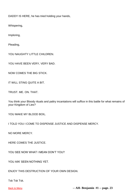DADDY IS HERE, he has tried holding your hands,

Whispering,

Imploring,

Pleading,

YOU NAUGHTY LITTLE CHILDREN.

YOU HAVE BEEN VERY, VERY BAD.

NOW COMES THE BIG STICK.

IT WILL STING QUITE A BIT.

TRUST. ME. ON. THAT.

You think your Bloody rituals and paltry incantations will suffice in this battle for what remains of your Kingdom of Lies?

YOU MAKE MY BLOOD BOIL.

I TOLD YOU I COME TO DISPENSE JUSTICE AND DISPENSE MERCY.

NO MORE MERCY.

HERE COMES THE JUSTICE.

YOU SEE NOW WHAT I MEAN DON'T YOU?

YOU AIN' SEEN NOTHING YET.

ENJOY THIS DESTRUCTION OF YOUR OWN DESIGN.

Tsk Tsk Tsk.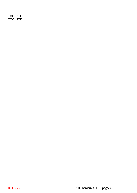TOO LATE. TOO LATE.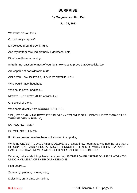## **SURPRISE!**

### **By Monjoronson thru Ben**

#### **Jun 28, 2013**

<span id="page-25-0"></span>Well what do you think,

Of my lovely surprise?

My beloved ground crew in light,

And my bottom-dwelling brothers in darkness, both,

Didn't see this one coming….

In truth, my reaction to most of you right now goes to prove that Celestials, too,

Are capable of considerable mirth!

CELESTIAL DAUGHTERS, HIGHEST OF THE HIGH.

Who would have thought it?

Who could have imagined….

NEVER UNDERESTIMATE A WOMAN!

Or several of them.

Who come directly from SOURCE, NO LESS.

YOU, MY REMAINING BROTHERS IN DARKNESS, WHO STILL CONTINUE TO EMBARRASS THEMSELVES IN PUBLIC,

DO YOU NOT SEE?

DO YOU NOT LEARN?

For those beloved readers here, still slow on the uptake,

What the CELESTIAL DAUGHTERS DELIVERED, a scant few hours ago, was nothing less than a BLOODY NOSE AND A BRUTAL SUCKER PUNCH THE LIKES OF WHICH THESE SATANIC HAS-BEENS HAVE NEVER WITNESSED NOR EXPERIENCED BEFORE.

What my beloved darklings have just absorbed, IS THE POWER OF THE DIVINE AT WORK TO UNDO A MILLENIA OF THEIR DARK DESIGNS.

Poor Dears….

Scheming, planning, strategizing,

Molesting, brutalizing, corrupting,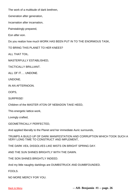The work of a multitude of dark brethren,

Generation after generation,

Incarnation after incarnation,

Painstakingly prepared,

Eon after eon.

Do you realize how much WORK HAS BEEN PUT IN TO THE ENORMOUS TASK,

TO BRING THIS PLANET TO HER KNEES?

ALL THAT TOIL.

MASTERFULLY ESTABLISHED,

TACTICALLY BRILLIANT.

ALL OF IT…. UNDONE.

UNDONE.

IN AN AFTERNOON.

OOPS,

SURPRISE!

Children of the MASTER ATON OF NEBADON TAKE HEED,

This energetic lattice-work,

Lovingly crafted,

GEOMETRICALLY PERFECTED,

And applied liberally to the Planet and her immediate Auric surrounds,

TRUMPS A BUILD UP OF DARK MANIFESTATION AND CORRUPTION WHICH TOOK SUCH A VERY LONG TIME TO CONSTRUCT AND IMPLEMENT,

THE DARK VEIL DISSOLVES LIKE MISTS ON BRIGHT SPRING DAY.

AND THE SUN SHINES BRIGHTLY WITH THE DAWN.

THE SON SHINES BRIGHTLY INDEED.

And my little naughty darklings are DUMBSTRUCK AND DUMBFOUNDED.

FOOLS.

NO MORE MERCY FOR YOU.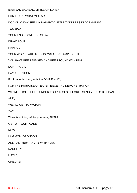BAD! BAD BAD BAD, LITTLE CHILDREN!

FOR THAT'S WHAT YOU ARE!

DO YOU KNOW SEE, MY NAUGHTY LITTLE TODDLERS IN DARKNESS?

TOO BAD.

YOUR ENDING WILL BE SLOW.

DRAWN OUT.

PAINFUL .

YOUR WORKS ARE TORN DOWN AND STAMPED OUT.

YOU HAVE BEEN JUDGED AND BEEN FOUND WANTING.

DON'T POUT,

PAY ATTENTION,

For I have decided, as is the DIVINE WAY,

FOR THE PURPOSE OF EXPERIENCE AND DEMONSTRATION,

WE WILL LIGHT A FIRE UNDER YOUR ASSES BEFORE I SEND YOU TO BE SPANKED.

AND,

WE ALL GET TO WATCH!

YAY!

There is nothing left for you here, FILTH!

GET OFF OUR PLANET.

NOW.

I AM MONJORONSON.

AND I AM VERY ANGRY WITH YOU,

NAUGHTY,

LITTLE,

CHILDREN.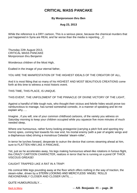## **CRITICAL MASS PANCAKE**

## **By Monjoronson thru Ben**

### **Aug 23, 2013**

<span id="page-28-0"></span>While the reference is a DRY cartoon, This is a serious piece, because the chemical murders that just happened in Syria are REAL and far worse than the media is reporting. C

Thursday 22th August 2013, CRITICAL MASS PANCAKE Monjoronson thru Benjamin

Wonderous children of the Most High,

Exalted in the image of your eternal father,

YOU ARE THE MANIFESTATION OF THE HIGHEST IDEALS OF THE CREATOR OF ALL,

And it is most fitting that so many of his HIGHEST AND MOST BEAUTIOUS CREATIONS come forth at this time to witness a most historic event.

THIS TIME, THIS PLACE, IS UNIQUE.

THIS EVENT, THE UNFOLDMENT OF THE PINNACLE OF DIVINE VICTORY OF THE LIGHT,

Against a handful of little tough nuts, who thought their vicious and febrile hides would prove too rambunctious to manage, has turned somewhat comedic, in a manner of speaking and let me explain why…..

Imagine , if you will, one of your common childhood cartoons, of the variety you witness on Saturday morning to keep your children occupied while you squeeze five more minutes of much needed sleep,

Where one humourous, rather funny looking protagonist (carrying a pitch fork and sporting tiny horns) spies, coming fast towards his rear end, his mortal enemy (with a pair of angelic wings and a diaphanous robe) driving a monstrous Celestial 'steam-roller',

In terror he lurches forward, desperate to outrun the device that comes steaming ahead at him, sure to FLATTEN HIM LIKE A PANCAKE,

Yet, just as he accelerates away, his legs making humourous wheel-like rotations in furious flight, this CRAZY CARTOON CHARACTER, realizes in terror that he is running on a pond OF THICK VISCOUS GREASE!

CAUGHT TRAPPED LIKE A RAT IN A TRAP!

His comical little legs pounding away at the floor which offers nothing in the way of traction, the steam-roller, driven by a STERN LOOKING AND MERCYLESS 'ANGEL' ROLLS INEXONERABLY CLOSER AND CLOSER UNTIL….

QUITE HUMOUROUSLY…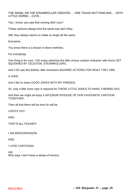THE ANGEL ON THE STEAMROLLER CREATES…. ONE TOUGH NUT PANCAKE…. WITH LITTLE HORNS….CUTE…

Yes, I know, you saw that coming didn't you?

These cartoons always end the same way don't they,

Still, they always seems to make us laugh all the same,

Everytime.

You know there is a lesson in there methinks.

For everybody.

One thing is for sure, I DO enjoy watching this little vicious cartoon character with horns GET SQUISHED BY CELESTIAL STEAMROLLERS,

And I DO see this BANAL little characters BIZARRE ACTIONS FOR WHAT THEY ARE,

A JOKE.

And I like to share GOOD JOKES WITH MY FRIENDS,

So, only a little more rope is required for THESE LITTLE JOKES TO HANG THEMSELVES,

And then we might all enjoy a SPLENDID EPISODE OF OUR FAVOURITE CARTOON TOGETHER,

Then all that there will be time for will be,

LIGHTS OUT,

AND,

THAT'S ALL FOLKS!!!!

I AM MONJORONSON.

AND,

I LOVE CARTOONS.

HA! Who says I don't have a sense of humour.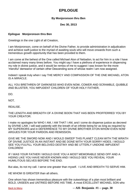## **EPILOGUE**

### **By Monjoronson thru Ben**

**Dec 30, 2013**

### <span id="page-30-0"></span>**Epilogue Monjoronson thru Ben**

Greetings in the one Light of all Creation,

I am Monjoronson, come on behalf of the Divine Father, to provide administration in adjudication and achieve swift justice to the myriad of awaiting souls who will move onwards from such a tremendous growth opportunity that has been provided to them.

I am come at the behest of the One called Michael Aton of Nebadon, to act for him in a role I have acclaimed many many times before. You might say I have a plethora of experience in dispensing my role in divine justice, and it would be remiss of me to suggest I was known for the more 'merciful' demeanor of certain other Descending sons of whose realm I am now assigned.

Indeed I speak truly when I say THE MERCY AND COMPASSION OF THE ONE MICHAEL ATON IS A MIRACLE.

ALL YOU BRETHREN OF DARKNESS WHO EVEN NOW, COWER AND SCRAMBLE, QUIBBLE AND BLUSTER, YOU IMPUDENT CHILDREN OF YOUR HOLY FATHER,

DO.

NOT.

REALISE.

THE LENGTH AND BREADTH OF A DIVINE BOON THAT HAS BEEN PROFFERRED YOU BY YOUR CREATOR.

I make no apologies for WHO I AM, I AM THAT I AM, and I come do dispense justice as decreed by DIVINE LAW. I will wait patiently with the breath of an infinite being for as long as required by MY SUPERIORS and in DEFERRENCE TO MY DIVINE BROTHER ATON WHOM EVEN NOW ARGUES FOR YOUR PARDON AND REMISSION.

GIVE ME THE SWORD NOW AND I WOULD SWEEP THIS PLANET CLEAN WITH THE WRATH OF DIVINE JUSTICE IN AN INSTANT AND BE DONE WITH YOUR SORRY HIDES. I WOULD SEE YOU FULFILL YOUR BELOVED DESTINY AND BE UTTERLY UNDONE IMPUDENT CHILDREN!

IF I WAS YOUR FATHER I WOULD GIVE YOU A MOST MEMORABLE SEND OFF AND A HIDING LIKE YOU HAVE NEVER KNOWN AND I WOULD SEE YOU REVEAL YOUR HUMILITOUS SELVES BEFORE THE END.

But alas, its not my call. I serve one greater than myself. I LIVE AND BREATH TO SERVE HIM.

HE WHOM IS GREATER than all others.

One whom has shown tremendous pleasure with the outworkings of a plan most brilliant and BOLD, UNSEEN and UNTRIED BEFORE HIS TIME. A most EXCELLENT MICHAEL SON who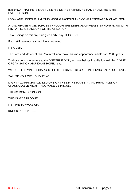has shown THAT HE IS MOST LIKE HIS DIVINE FATHER. HE HAS SHOWN HE IS HIS FATHERS SON.

I BOW AND HONOUR HIM, THIS MOST GRACIOUS AND COMPASSIONATE MICHAEL SON.

ATON, WHOSE NAME ECHOES THROUGH THE ETERNAL UNIVERSE, SYNONYMOUS WITH HIS FATHERS PASSION FOR HIS CREATION.

To all Beings on this tiny blue green orb I say, IT IS DONE.

If you still have not realized, have not heard,

ITS OVER.

The Lord and Master of this Realm will now make his 2nd appearance in little over 2000 years.

To those beings in service to the ONE TRUE GOD, to those beings in affiliation with this DIVINE ORGANISATION ABUNDANT HOPE, I say,

WE OF THE DIVINE HEIRARCHY, HERE BY DIVINE DECREE, IN SERVICE AS YOU SERVE,

SALUTE YOU. WE HONOUR YOU.

MIGHTY WARRIORS ALL. LEGIONS OF THE DIVINE MAJESTY AND PRINCIPLES OF UNASSAILABLE MIGHT, YOU MAKE US PROUD.

THIS IS MONJORONSON.

THIS IS MY EPILOGUE.

ITS TIME TO WAKE UP.

KNOCK, KNOCK……..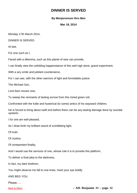## **DINNER IS SERVED**

## **By Monjoronson thru Ben**

**Mar 18, 2014**

<span id="page-32-0"></span>Monday 17th March 2014,

DINNER IS SERVED

At last,

For one such as I,

Faced with a dilemma, such as this planet of woe can provide,

I can finally view the unfolding happenstance of this well nigh done, grand experiment,

With a wry smile and jubilant countenance,

For I can see, with the other warriors of light and formidable justice

The Michael Son,

Lord Aton moves now,

To sweep the remnants of lasting sorrow from this mired green orb,

Confronted with the futile and hysterical (to some) antics of his wayward children,

He is forced to bring about swift end before there can be any lasting damage done by suicidal upstarts.

I for one am well pleased,

As I draw forth my brilliant sword of scintillating light,

Of truth,

Of Justice,

Of unrepentant finality,

And I would use the services of one, whose role it is to provide this platform,

To deliver a final plea to the darkness,

In fact, my dark brethren,

You might observe me fall to one knee, meet your eye boldly

AND BEG YOU,

Please…..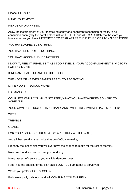Please, PLEASE!

MAKE YOUR MOVE!

FIENDS OF DARKNESS,

Allow the last fragment of your fast failing sanity and cognizant recognition of reality to be consumed entirely by the hateful bloodlust for ALL LIFE and ALL CREATION that has torn your future apart as you have ATTEMPTED TO TEAR APART THE FUTURE OF ATON'S CREATION!

YOU HAVE ACHIEVED NOTHING,

YOU HAVE DESTROYED NOTHING,

YOU HAVE ACCOMPLISHED NOTHING,

KNOW IT, FEEL IT, REVEL IN IT AS I TOO REVEL IN YOUR ACCOMPLISHMENT IN VICTORY FOR THE LIGHT!

IGNORANT, BALEFUL AND IDIOTIC FOOLS.

THE HOST OF HEAVEN STANDS READY TO RECEIVE YOU!

MAKE YOUR PRECIOUS MOVE!

I DEMAND IT!

COMPLETE WHAT YOU HAVE STARTED, WHAT YOU HAVE WORKED SO HARD TO ACHIEVE!!!

YOUR OWN DESTRUCTION IS AT HAND, AND I WILL FINISH WHAT I HAVE STARTED!

WEEP,

TREMBLE,

QUAKE,

FOR YOUR GOD-FORSAKEN BACKS ARE TRULY AT THE WALL,

And all that remains is a choice that only YOU can make,

Probably the last choice you will ever have the chance to make for the rest of eternity.

Ruin has found you and so has your undoing.

In my last act of service to you my little demonic ones,

I offer you the choice, for the dish called JUSTICE I am about to serve you,

Would you prefer it HOT or COLD?

Both are equally delicious, and will CONSUME YOU ENTIRELY,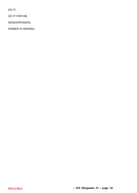DO IT,

DO IT FOR ME,

MONJORONSON,

DINNER IS SERVED.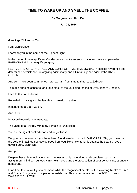## <span id="page-35-0"></span>**TIME TO WAKE UP AND SMELL THE COFFEE.**

## **By Monjoronson thru Ben**

**Jun 21, 2014**

Greetings Children of Zion,

I am Monjoronson.

I come to you in the name of the Highest Light,

In the name of the magnificent Candescence that transcends space and time and pervades EVERYTHING in its magnificent glory.

I SERVE THE ONE, PAST AGE AND EON, FOR TIME IMMEMORIAL in selfless reverence and determined persistence, unforgiving against any and all intransigence against the DIVINE ORDER.

And so, I have been summoned here, as I am from time to time, to adjudicate.

To make bringing sense to, and take stock of the unfolding realms of Evolutionary Creation.

I see truth in all its forms.

Revealed to my sight is the length and breadth of a thing.

In minute detail, do I weigh,

And JUDGE,

In accordance with my mandate,

The value of all things, within my domain of jurisdiction.

You are beings of contradiction and ungodliness.

Weighed and measured, you have been found wanting. In the LIGHT OF TRUTH, you have had the veils of imagined secrecy stripped from you like smoky tendrils against the searing rays of dawn's pure, clear light.

And yet,

Despite these clear indications and processes, duly maintained and completed upon my assignment, I find yet, curiously, my next moves and the prosecution of your sentencing, strangely hamstrung.

I find I am told to 'wait' just a moment, while the magnificent creator of this evolving Realm of Time and Space, brings about his piece de resistance. This order comes from the TOP…… from WAAAAYYY UP TOP.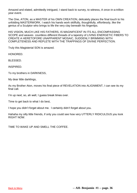Amazed and elated, admittedly intrigued, I stand back to survey, to witness, A once-in-a-trillion year event.

The One, ATON, as a MASTER of his OWN CREATION, delicately places the final touch to his unfolding MASTERWORK. I watch his hands work skillfully, thoughtfully, effortlessly, like the genius of a Sculptor who brings to life the very clay beneath his fingertips.

HIS VISION, MUCH LIKE HIS FATHERS, IS MAGNIFICENT IN ITS ALL ENCOMPASSING SCOPE and weaves countless different threads of a tapestry of LIVING ENERGETIC FIBERS TO CREATE A HERETOFORE UNAPPARENT MOSAIC, SUDDENLY BRIMMING WITH COMPLETENESS AND REPLETE WITH THE TRAPPINGS OF DIVINE PERFECTION.

Truly this Magisterial SON is amazed.

HONORED.

BLESSED.

INSPIRED.

To my brothers in DARKNESS,

My dear little darklings,

As my Brother Aton, moves his final piece of REVELATION into ALIGNMENT, I can see its my final call.

I'm up next, so, ah well, I guess break times over.

Time to get back to what I do best,

I hope you didn't forget about me. I certainly didn't forget about you.

Hahaha my silly little friends, if only you could see how very UTTERLY RIDICULOUS you look RIGHT NOW.

TIME TO WAKE UP AND SMELL THE COFFEE.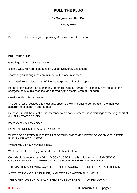## **PULL THE PLUG**

### **By Monjoronson thru Ben**

### **Oct 7, 2014**

<span id="page-37-0"></span>Ben just sent this a bit ago.... Spanking Monjoronson is the author...

### **PULL THE PLUG**

Greetings Citizens of Earth plane,

It is the One, Monjoronson, Master, Judge, Deliverer, Executioner

I come to you through the commitment of this one in service,

A being of tremendous light, refulgent and glorious himself, in splendor,

Bound to this planet Terra, as many others like him, he serves in a capacity best suited to the energetic body of his essence, as directed by the Master Aton of Nebadon,

Creator of this Eternal realm,

The being, who receives this message, observes with increasing perturbation, the manifest absurdity of a planet in utter turmoil,

He asks himself the question, in reference to his dark brothers, those darklings at the very heart of this PLANETARY CRISIS,

HOW LOW CAN YOU GO?

HOW FAR DOES THE ABYSS PLUNGE?

WHEREFORE DOES THE CURTAINS OF THIS END TIMES WORK OF COSMIC THEATRE FINALLY DRAW CLOSED?

WHEN WILL THIS MADNESS END?

Well I would like to allay your fearful doubt about that one,

Consider for a moment the GRAND CONDUCTOR, of this unfolding work of MAJESTIC ORCHESTRATION, the PERFECTION of the ONE, MICHAEL OF NEBADON.

THE MASTER SON, WHO COMES FROM THE SOURCE AND CENTRE OF ALL THINGS,

A REFLECTION OF HIS FATHER, IN GLORY AND ACCOMPLISHMENT

THIS CREATOR SON HAS ACHIEVED TRUE SOVEREIGNTY OF HIS DOMAIN,